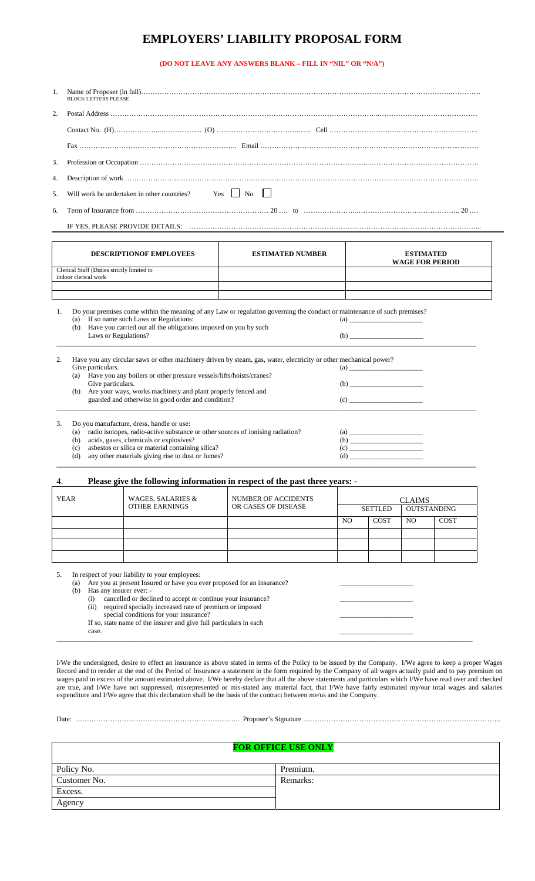## **EMPLOYERS' LIABILITY PROPOSAL FORM**

## **(DO NOT LEAVE ANY ANSWERS BLANK – FILL IN "NIL" OR "N/A")**

| <b>BLOCK LETTERS PLEASE</b>                                     |
|-----------------------------------------------------------------|
|                                                                 |
|                                                                 |
|                                                                 |
|                                                                 |
|                                                                 |
| 5. Will work be undertaken in other countries? $\Box$ No $\Box$ |
|                                                                 |
|                                                                 |

|    | DESCRIPTIONOF EMPLOYEES                                                                                                                                                                                                                                                   | <b>ESTIMATED NUMBER</b> | <b>ESTIMATED</b><br><b>WAGE FOR PERIOD</b> |  |  |
|----|---------------------------------------------------------------------------------------------------------------------------------------------------------------------------------------------------------------------------------------------------------------------------|-------------------------|--------------------------------------------|--|--|
|    | Clerical Staff (Duties strictly limited to                                                                                                                                                                                                                                |                         |                                            |  |  |
|    | indoor clerical work                                                                                                                                                                                                                                                      |                         |                                            |  |  |
|    |                                                                                                                                                                                                                                                                           |                         |                                            |  |  |
|    |                                                                                                                                                                                                                                                                           |                         |                                            |  |  |
|    | Do your premises come within the meaning of any Law or regulation governing the conduct or maintenance of such premises?<br>If so name such Laws or Regulations:<br>(a)<br>Have you carried out all the obligations imposed on you by such<br>(b)<br>Laws or Regulations? |                         | $\left( a\right)$ $\qquad \qquad$<br>(b)   |  |  |
| 2. | Have you any circular saws or other machinery driven by steam, gas, water, electricity or other mechanical power?                                                                                                                                                         |                         |                                            |  |  |
|    | Give particulars.                                                                                                                                                                                                                                                         |                         |                                            |  |  |
|    | Have you any boilers or other pressure vessels/lifts/hoists/cranes?<br>(a)                                                                                                                                                                                                |                         |                                            |  |  |
|    | Give particulars.                                                                                                                                                                                                                                                         |                         |                                            |  |  |
|    | Are your ways, works machinery and plant properly fenced and<br>(b)                                                                                                                                                                                                       |                         |                                            |  |  |
|    | guarded and otherwise in good order and condition?                                                                                                                                                                                                                        |                         | (c)                                        |  |  |
| 3. | Do you manufacture, dress, handle or use:                                                                                                                                                                                                                                 |                         |                                            |  |  |
|    | radio isotopes, radio-active substance or other sources of ionising radiation?<br>(a)                                                                                                                                                                                     |                         |                                            |  |  |
|    | acids, gases, chemicals or explosives?<br>(b)                                                                                                                                                                                                                             |                         |                                            |  |  |
|    | asbestos or silica or material containing silica?<br>(c)                                                                                                                                                                                                                  |                         |                                            |  |  |
|    | any other materials giving rise to dust or fumes?<br>(d)                                                                                                                                                                                                                  |                         |                                            |  |  |

## 4. **Please give the following information in respect of the past three years: -**

| <b>YEAR</b> | WAGES, SALARIES &     | NUMBER OF ACCIDENTS |                |                | <b>CLAIMS</b>      |             |
|-------------|-----------------------|---------------------|----------------|----------------|--------------------|-------------|
|             | <b>OTHER EARNINGS</b> | OR CASES OF DISEASE |                | <b>SETTLED</b> | <b>OUTSTANDING</b> |             |
|             |                       |                     | N <sub>O</sub> | <b>COST</b>    | N <sub>O</sub>     | <b>COST</b> |
|             |                       |                     |                |                |                    |             |
|             |                       |                     |                |                |                    |             |
|             |                       |                     |                |                |                    |             |
|             |                       |                     |                |                |                    |             |

**\_\_\_\_\_\_\_\_\_\_\_\_\_\_\_\_\_\_\_\_\_\_\_\_\_\_\_\_\_\_\_\_\_\_\_\_\_\_\_\_\_\_\_\_\_\_\_\_\_\_\_\_\_\_\_\_\_\_\_\_\_\_\_\_\_\_\_\_\_\_\_\_\_\_\_\_\_\_\_\_\_\_\_\_\_\_\_\_\_\_\_\_\_\_\_\_\_\_\_\_\_\_\_\_\_\_\_\_\_\_\_\_\_\_\_\_\_\_\_\_**

5. In respect of your liability to your employees:

| (a) | Are you at present Insured or have you ever proposed for an insurance? |  |
|-----|------------------------------------------------------------------------|--|
| (b) | Has any insurer ever: -                                                |  |
|     | cancelled or declined to accept or continue your insurance?<br>(i)     |  |
|     | required specially increased rate of premium or imposed<br>(ii)        |  |
|     | special conditions for your insurance?                                 |  |
|     | If so, state name of the insurer and give full particulars in each     |  |
|     | case.                                                                  |  |
|     |                                                                        |  |

I/We the undersigned, desire to effect an insurance as above stated in terms of the Policy to be issued by the Company. I/We agree to keep a proper Wages Record and to render at the end of the Period of Insurance a statement in the form required by the Company of all wages actually paid and to pay premium on wages paid in excess of the amount estimated above. I/We hereby declare that all the above statements and particulars which I/We have read over and checked are true, and I/We have not suppressed, misrepresented or mis-stated any material fact, that I/We have fairly estimated my/our total wages and salaries expenditure and I/We agree that this declaration shall be the basis of the contract between me/us and the Company.

| лаге |  |  |
|------|--|--|
| ×    |  |  |

Date: …………………………………………………………….. Proposer's Signature ………………………………………………………………………….

|              | <b>FOR OFFICE USE ONLY</b> |
|--------------|----------------------------|
| Policy No.   | Premium.                   |
| Customer No. | Remarks:                   |
| Excess.      |                            |
| Agency       |                            |